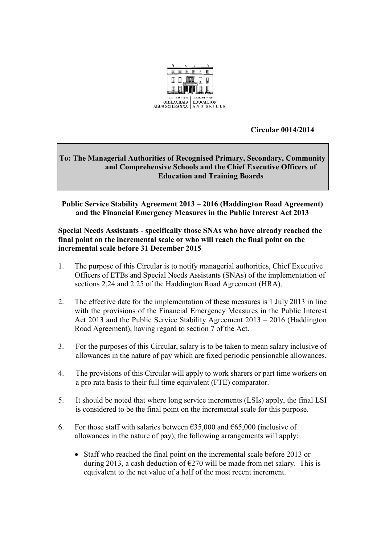

 **Circular 0014/2014**

## **To: The Managerial Authorities of Recognised Primary, Secondary, Community and Comprehensive Schools and the Chief Executive Officers of Education and Training Boards**

**Public Service Stability Agreement 2013 – 2016 (Haddington Road Agreement) and the Financial Emergency Measures in the Public Interest Act 2013**

## **Special Needs Assistants - specifically those SNAs who have already reached the final point on the incremental scale or who will reach the final point on the incremental scale before 31 December 2015**

- 1. The purpose of this Circular is to notify managerial authorities, Chief Executive Officers of ETBs and Special Needs Assistants (SNAs) of the implementation of sections 2.24 and 2.25 of the Haddington Road Agreement (HRA).
- 2. The effective date for the implementation of these measures is 1 July 2013 in line with the provisions of the Financial Emergency Measures in the Public Interest Act 2013 and the Public Service Stability Agreement 2013 – 2016 (Haddington Road Agreement), having regard to section 7 of the Act.
- 3. For the purposes of this Circular, salary is to be taken to mean salary inclusive of allowances in the nature of pay which are fixed periodic pensionable allowances.
- 4. The provisions of this Circular will apply to work sharers or part time workers on a pro rata basis to their full time equivalent (FTE) comparator.
- 5. It should be noted that where long service increments (LSIs) apply, the final LSI is considered to be the final point on the incremental scale for this purpose.
- 6. For those staff with salaries between  $\epsilon$ 35,000 and  $\epsilon$ 65,000 (inclusive of allowances in the nature of pay), the following arrangements will apply:
	- Staff who reached the final point on the incremental scale before 2013 or during 2013, a cash deduction of  $\epsilon$ 270 will be made from net salary. This is equivalent to the net value of a half of the most recent increment.